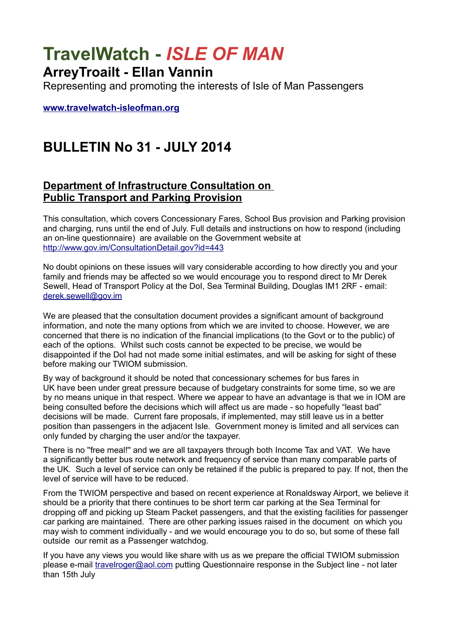# **TravelWatch -** *ISLE OF MAN*

### **ArreyTroailt - Ellan Vannin**

Representing and promoting the interests of Isle of Man Passengers

**[www.travelwatch-isleofman.org](http://www.travelwatch-isleofman.org/)**

## **BULLETIN No 31 - JULY 2014**

#### **Department of Infrastructure Consultation on Public Transport and Parking Provision**

This consultation, which covers Concessionary Fares, School Bus provision and Parking provision and charging, runs until the end of July. Full details and instructions on how to respond (including an on-line questionnaire) are available on the Government website at <http://www.gov.im/ConsultationDetail.gov?id=443>

No doubt opinions on these issues will vary considerable according to how directly you and your family and friends may be affected so we would encourage you to respond direct to Mr Derek Sewell, Head of Transport Policy at the DoI, Sea Terminal Building, Douglas IM1 2RF - email: [derek.sewell@gov.im](mailto:derek.sewell@gov.im)

We are pleased that the consultation document provides a significant amount of background information, and note the many options from which we are invited to choose. However, we are concerned that there is no indication of the financial implications (to the Govt or to the public) of each of the options. Whilst such costs cannot be expected to be precise, we would be disappointed if the DoI had not made some initial estimates, and will be asking for sight of these before making our TWIOM submission.

By way of background it should be noted that concessionary schemes for bus fares in UK have been under great pressure because of budgetary constraints for some time, so we are by no means unique in that respect. Where we appear to have an advantage is that we in IOM are being consulted before the decisions which will affect us are made - so hopefully "least bad" decisions will be made. Current fare proposals, if implemented, may still leave us in a better position than passengers in the adjacent Isle. Government money is limited and all services can only funded by charging the user and/or the taxpayer.

There is no ''free meal!'' and we are all taxpayers through both Income Tax and VAT. We have a significantly better bus route network and frequency of service than many comparable parts of the UK. Such a level of service can only be retained if the public is prepared to pay. If not, then the level of service will have to be reduced.

From the TWIOM perspective and based on recent experience at Ronaldsway Airport, we believe it should be a priority that there continues to be short term car parking at the Sea Terminal for dropping off and picking up Steam Packet passengers, and that the existing facilities for passenger car parking are maintained. There are other parking issues raised in the document on which you may wish to comment individually - and we would encourage you to do so, but some of these fall outside our remit as a Passenger watchdog.

If you have any views you would like share with us as we prepare the official TWIOM submission please e-mail [travelroger@aol.com](mailto:travelroger@aol.com) putting Questionnaire response in the Subject line - not later than 15th July